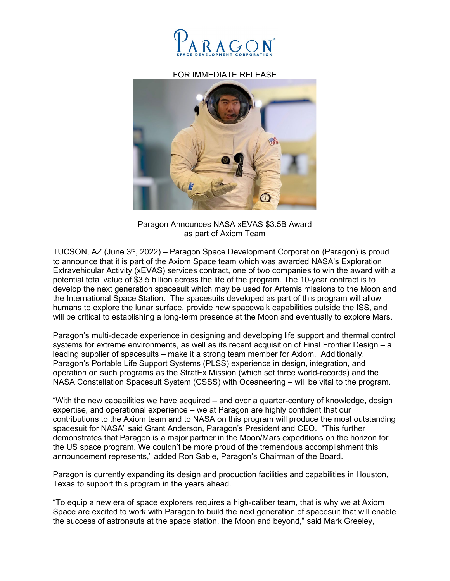

## FOR IMMEDIATE RELEASE



Paragon Announces NASA xEVAS \$3.5B Award as part of Axiom Team

TUCSON, AZ (June  $3<sup>rd</sup>$ , 2022) – Paragon Space Development Corporation (Paragon) is proud to announce that it is part of the Axiom Space team which was awarded NASA's Exploration Extravehicular Activity (xEVAS) services contract, one of two companies to win the award with a potential total value of \$3.5 billion across the life of the program. The 10-year contract is to develop the next generation spacesuit which may be used for Artemis missions to the Moon and the International Space Station. The spacesuits developed as part of this program will allow humans to explore the lunar surface, provide new spacewalk capabilities outside the ISS, and will be critical to establishing a long-term presence at the Moon and eventually to explore Mars.

Paragon's multi-decade experience in designing and developing life support and thermal control systems for extreme environments, as well as its recent acquisition of Final Frontier Design – a leading supplier of spacesuits – make it a strong team member for Axiom. Additionally, Paragon's Portable Life Support Systems (PLSS) experience in design, integration, and operation on such programs as the StratEx Mission (which set three world-records) and the NASA Constellation Spacesuit System (CSSS) with Oceaneering – will be vital to the program.

"With the new capabilities we have acquired – and over a quarter-century of knowledge, design expertise, and operational experience – we at Paragon are highly confident that our contributions to the Axiom team and to NASA on this program will produce the most outstanding spacesuit for NASA" said Grant Anderson, Paragon's President and CEO. "This further demonstrates that Paragon is a major partner in the Moon/Mars expeditions on the horizon for the US space program. We couldn't be more proud of the tremendous accomplishment this announcement represents," added Ron Sable, Paragon's Chairman of the Board.

Paragon is currently expanding its design and production facilities and capabilities in Houston, Texas to support this program in the years ahead.

"To equip a new era of space explorers requires a high-caliber team, that is why we at Axiom Space are excited to work with Paragon to build the next generation of spacesuit that will enable the success of astronauts at the space station, the Moon and beyond," said Mark Greeley,